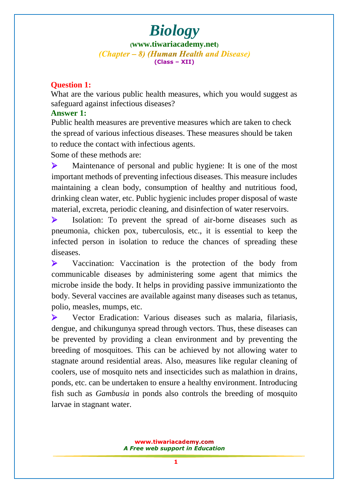**([www.tiwariacademy.net](http://www.tiwariacademy.net/))** (Chapter – 8) (Human Health and Disease) **(Class – XII)**

#### **Question 1:**

What are the various public health measures, which you would suggest as safeguard against infectious diseases?

#### **Answer 1:**

Public health measures are preventive measures which are taken to check the spread of various infectious diseases. These measures should be taken to reduce the contact with infectious agents.

Some of these methods are:

 Maintenance of personal and public hygiene: It is one of the most important methods of preventing infectious diseases. This measure includes maintaining a clean body, consumption of healthy and nutritious food, drinking clean water, etc. Public hygienic includes proper disposal of waste material, excreta, periodic cleaning, and disinfection of water reservoirs.

 Isolation: To prevent the spread of air-borne diseases such as pneumonia, chicken pox, tuberculosis, etc., it is essential to keep the infected person in isolation to reduce the chances of spreading these diseases.

 Vaccination: Vaccination is the protection of the body from communicable diseases by administering some agent that mimics the microbe inside the body. It helps in providing passive immunizationto the body. Several vaccines are available against many diseases such as tetanus, polio, measles, mumps, etc.

 Vector Eradication: Various diseases such as malaria, filariasis, dengue, and chikungunya spread through vectors. Thus, these diseases can be prevented by providing a clean environment and by preventing the breeding o[f mosquitoes. This can be achieved by not allowing w](www.tiwariacademy.com)ater to stagnate around residential areas. Also, measures like regular cleaning of coolers, use of mosquito nets and insecticides such as malathion in drains, ponds, etc. can be undertaken to ensure a healthy environment. Introducing fish such as *Gambusia* in ponds also controls the breeding of mosquito larvae in stagnant water.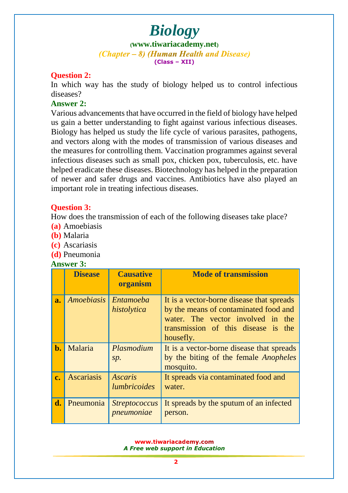### *Biology* **([www.tiwariacademy.net](http://www.tiwariacademy.net/))** (Chapter – 8) (Human Health and Disease) **(Class – XII)**

#### **Question 2:**

In which way has the study of biology helped us to control infectious diseases?

#### **Answer 2:**

Various advancements that have occurred in the field of biology have helped us gain a better understanding to fight against various infectious diseases. Biology has helped us study the life cycle of various parasites, pathogens, and vectors along with the modes of transmission of various diseases and the measures for controlling them. Vaccination programmes against several infectious diseases such as small pox, chicken pox, tuberculosis, etc. have helped eradicate these diseases. Biotechnology has helped in the preparation of newer and safer drugs and vaccines. Antibiotics have also played an important role in treating infectious diseases.

#### **Question 3:**

How does the transmission of each of the following diseases take place?

- **(a)** Amoebiasis
- **(b)** Malaria
- **(c)** Ascariasis
- **(d)** Pneumonia

#### **Answer 3:**

|       | <b>Disease</b>    | <b>Causative</b><br>organism          | <b>Mode of transmission</b>                                                                                                                                                 |
|-------|-------------------|---------------------------------------|-----------------------------------------------------------------------------------------------------------------------------------------------------------------------------|
| a.    | <i>Amoebiasis</i> | Entamoeba<br>histolytica              | It is a vector-borne disease that spreads<br>by the means of contaminated food and<br>water. The vector involved in the<br>transmission of this disease is the<br>housefly. |
| $b$ . | Malaria           | Plasmodium<br>sp.                     | It is a vector-borne disease that spreads<br>by the biting of the female <i>Anopheles</i><br>mosquito.                                                                      |
| c.    | <b>Ascariasis</b> | <b>Ascaris</b><br><i>lumbricoides</i> | It spreads via contaminated food and<br>water.                                                                                                                              |
| d.    | Pneumonia         | <b>Streptococcus</b><br>pneumoniae    | It spreads by the sputum of an infected<br>person.                                                                                                                          |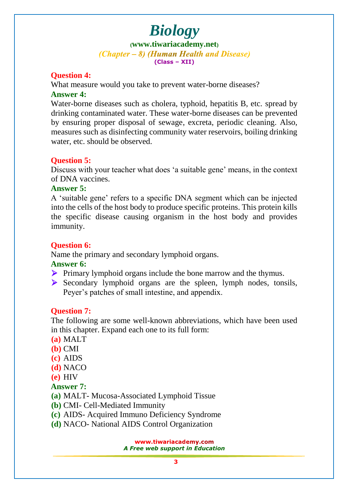**([www.tiwariacademy.net](http://www.tiwariacademy.net/))** (Chapter – 8) (Human Health and Disease) **(Class – XII)**

#### **Question 4:**

What measure would you take to prevent water-borne diseases? **Answer 4:**

Water-borne diseases such as cholera, typhoid, hepatitis B, etc. spread by drinking [contaminated water. These water-borne diseases can](www.tiwariacademy.com) be prevented by ensuring proper disposal of sewage, excreta, periodic cleaning. Also, measures such as disinfecting community water reservoirs, boiling drinking water, etc. should be observed.

#### **Question 5:**

Discuss with your teacher what does 'a suitable gene' means, in the context of DNA vaccines.

#### **Answer 5:**

A 'suitable gene' refers to a specific DNA segment which can be injected into the cells of the host body to produce specific proteins. This protein kills the specific disease causing organism in the host body and provides immunity.

#### **Question 6:**

Name the primary and secondary lymphoid organs.

**Answer 6:**

- **Primary lymphoid organs include the bone marrow and the thymus.**
- $\triangleright$  Secondary lymphoid organs are the spleen, lymph nodes, tonsils, Peyer's patches of small intestine, and appendix.

#### **Question 7:**

The following are some well-known abbreviations, which have been used in this chapter. Expand each one to its full form:

**(a)** MALT

- **(b)** CMI
- **(c)** AIDS
- **(d)** NACO
- **(e)** HIV

#### **Answer 7:**

- **(a)** MALT- Mucosa-Associated Lymphoid Tissue
- **(b)** CMI- Cell-Mediated Immunity
- **(c)** AIDS- Acquired Immuno Deficiency Syndrome
- **(d)** NACO- National AIDS Control Organization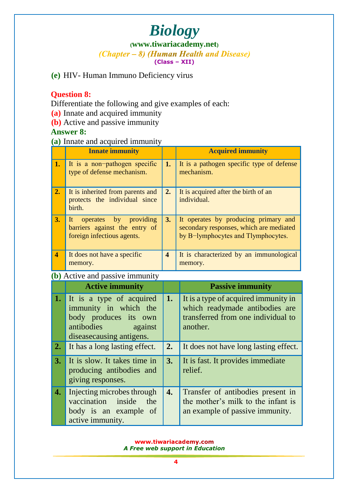### *Biology* (*Chapter – 8*) (*Human Health and Disease*) **(Class – XII)**

**(e)** HIV- Human Immuno Deficiency virus

#### **Question 8:**

Differentiate the following and give examples of each:

- **(a)** Innate and acquired immunity
- **(b)** Active and passive immunity

#### **Answer 8:**

#### **(a)** Innate and acquired immunity

|                         | <b>Innate immunity</b>                                                                     |                         | <b>Acquired immunity</b>                                                                                              |  |  |
|-------------------------|--------------------------------------------------------------------------------------------|-------------------------|-----------------------------------------------------------------------------------------------------------------------|--|--|
| 1.                      | It is a non-pathogen specific<br>type of defense mechanism.                                | 1.                      | It is a pathogen specific type of defense<br>mechanism.                                                               |  |  |
| 2.                      | It is inherited from parents and<br>protects the individual since<br>birth.                |                         | It is acquired after the birth of an<br>individual.                                                                   |  |  |
| 3.                      | operates by providing<br>It<br>barriers against the entry of<br>foreign infectious agents. | 3.                      | It operates by producing primary and<br>secondary responses, which are mediated<br>by B-lymphocytes and Tlymphocytes. |  |  |
| $\overline{\mathbf{4}}$ | It does not have a specific<br>memory.                                                     | $\overline{\mathbf{4}}$ | It is characterized by an immunological<br>memory.                                                                    |  |  |
|                         | (b) Active and passive immunity                                                            |                         |                                                                                                                       |  |  |
|                         | <b>Active immunity</b>                                                                     |                         | <b>Passive immunity</b>                                                                                               |  |  |

|                   | (D) ACTIVE and passive minimum                                                                                                   |  |                                                                                                                          |  |  |
|-------------------|----------------------------------------------------------------------------------------------------------------------------------|--|--------------------------------------------------------------------------------------------------------------------------|--|--|
|                   | <b>Active immunity</b>                                                                                                           |  | <b>Passive immunity</b>                                                                                                  |  |  |
| 1.                | It is a type of acquired<br>immunity in which the<br>body produces its own<br>antibodies<br>against<br>disease causing antigens. |  | It is a type of acquired immunity in<br>which readymade antibodies are<br>transferred from one individual to<br>another. |  |  |
| 2.                | It has a long lasting effect.                                                                                                    |  | It does not have long lasting effect.                                                                                    |  |  |
| 3.                | It is slow. It takes time in<br>producing antibodies and<br>giving responses.                                                    |  | It is fast. It provides immediate<br>relief.                                                                             |  |  |
| $\boldsymbol{4.}$ | Injecting microbes through<br>vaccination inside<br>the<br>body is an example of<br>active immunity.                             |  | Transfer of antibodies present in<br>the mother's milk to the infant is<br>an example of passive immunity.               |  |  |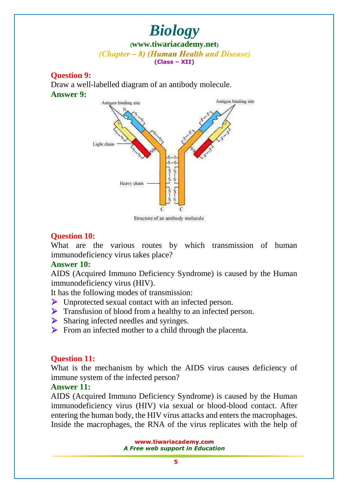### *Biology* **([www.tiwariacademy.net](http://www.tiwariacademy.net/))** (Chapter – 8) (Human Health and Disease) **(Class – XII)**

#### **Question 9:**

Draw a well-labelled diagram of an antibody molecule. **Answer 9:**



Structure of an antibody molecule

#### **Question 10:**

What are the various routes by which transmission of human immunodeficiency virus takes place?

#### **Answer 10:**

AIDS (Acqu[ired Immuno Deficiency Syndrome\) is](www.tiwariacademy.com) caused by the Human immunodeficiency virus (HIV).

It has the following modes of transmission:

- Unprotected sexual contact with an infected person.
- **Transfusion of blood from a healthy to an infected person.**
- Sharing infected needles and syringes.
- $\triangleright$  From an infected mother to a child through the placenta.

#### **Question 11:**

What is the mechanism by which the AIDS virus causes deficiency of immune system of the infected person?

#### **Answer 11:**

AIDS (Acquired Immuno Deficiency Syndrome) is caused by the Human immunodeficiency virus (HIV) via sexual or blood-blood contact. After entering the human body, the HIV virus attacks and enters the macrophages. Inside the macrophages, the RNA of the virus replicates with the help of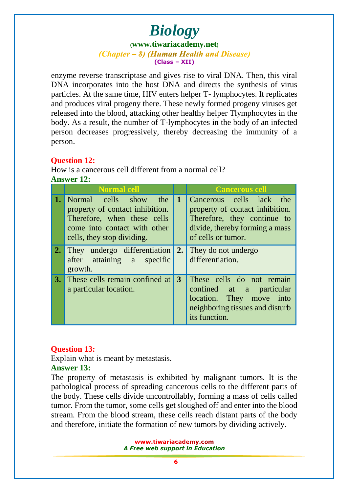### *Biology* **([www.tiwariacademy.net](http://www.tiwariacademy.net/))** (Chapter – 8) (Human Health and Disease) **(Class – XII)**

enzyme reverse transcriptase and gives rise to viral DNA. Then, this viral DNA incorporates into the host DNA and directs the synthesis of virus particles. At the same time, HIV enters helper T- lymphocytes. It replicates and produces viral progeny there. These newly formed progeny viruses get released into the blood, attacking other healthy helper Tlymphocytes in the body. As a result, the number of T-lymphocytes in the body of an infected person decreases progressively, thereby decreasing the immunity of a person.

#### **Question 12:**

How is a cancerous cell different from a normal cell? **Answer 12:**

|     | Normal cell                                                                                                                                              |    | <b>Cancerous cell</b>                                                                                                                              |
|-----|----------------------------------------------------------------------------------------------------------------------------------------------------------|----|----------------------------------------------------------------------------------------------------------------------------------------------------|
| 1.1 | Normal cells show<br>the<br>property of contact inhibition.<br>Therefore, when these cells<br>come into contact with other<br>cells, they stop dividing. |    | Cancerous cells lack the<br>property of contact inhibition.<br>Therefore, they continue to<br>divide, thereby forming a mass<br>of cells or tumor. |
| 2.  | They undergo differentiation<br>after attaining a specific<br>growth.                                                                                    | 2. | They do not undergo<br>differentiation.                                                                                                            |
|     | <b>3.</b> These cells remain confined at<br>a particular location.                                                                                       |    | These cells do not remain<br>confined at a particular<br>location. They move into<br>neighboring tissues and disturb<br>its function.              |

#### **Question 13:**

Explain what is meant by metastasis.

#### **Answer 13:**

The property of metastasis is exhibited by malignant tumors. It is the pathological process of spreading cancerous cells to the different parts of the body. These cells divide uncontrollably, forming a mass of cells called tumor. From the tumor, some cells get sloughed off and enter into the blood stream. From the blood stream, these cells reach distant parts of the body and therefore, initiate the formation of new tumors by dividing actively.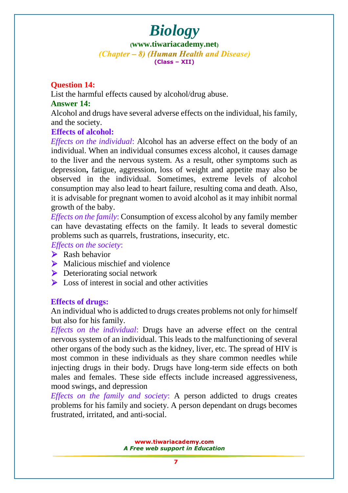**([www.tiwariacademy.net](http://www.tiwariacademy.net/))** (Chapter – 8) (Human Health and Disease) **(Class – XII)**

#### **Question 14:**

List the harmful effects caused by alcohol/drug abuse.

#### **Answer 14:**

Alcohol and drugs have several adverse effects on the individual, his family, and the society.

#### **Effects of alcohol:**

*Effects on the individual*: Alcohol has an adverse effect on the body of an individual. When an individual consumes excess alcohol, it causes damage to the liver and the nervous system. As a result, other symptoms such as depression**,** fatigue, aggression, loss of weight and appetite may also be observed in the individual. Sometimes, extreme levels of alcohol consumption may also lead to heart failure, resulting coma and death. Also, it is advisable for pregnant women to avoid alcohol as it may inhibit normal growth of the baby.

*Effects on the family*: Consumption of excess alcohol by any family member can have devastating effects on the family. It leads to several domestic problems such as quarrels, frustrations, insecurity, etc.

*Effects on the society*:

- $\triangleright$  Rash behavior
- $\triangleright$  Malicious mischief and violence
- **Deteriorating social network**
- $\sum$  Loss of interest in social and other activities

#### **Effects of drugs:**

An individual who is addicted to drugs creates problems not only for himself but also for his family.

*Effects on the individual*: Drugs have an adverse effect on the central nervous system of an individual. This leads to the malfunctioning of several other organs [of the body such as the kidney, liver, etc. The spread of H](www.tiwariacademy.com)IV is most common in these individuals as they share common needles while injecting drugs in their body. Drugs have long-term side effects on both males and females. These side effects include increased aggressiveness, mood swings, and depression

*Effects on the family and society*: A person addicted to drugs creates problems for his family and society. A person dependant on drugs becomes frustrated, irritated, and anti-social.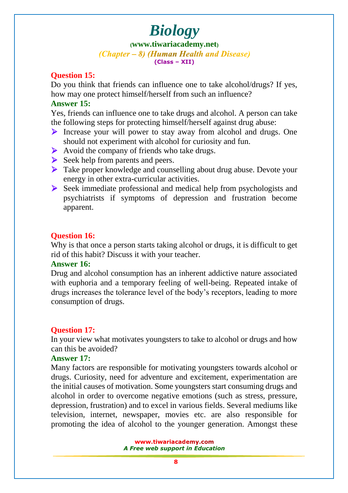**([www.tiwariacademy.net](http://www.tiwariacademy.net/))** (Chapter – 8) (Human Health and Disease) **(Class – XII)**

#### **Question 15:**

Do you think that friends can influence one to take alcohol/drugs? If yes, how may one protect himself/herself from such an influence?

#### **Answer 15:**

Yes, friends can influence one to take drugs and alcohol. A person can take the following steps for protecting himself/herself against drug abuse:

- Increase your [will power to stay away from alcohol a](www.tiwariacademy.com)nd drugs. One should not experiment with alcohol for curiosity and fun.
- $\triangleright$  Avoid the company of friends who take drugs.
- $\triangleright$  Seek help from parents and peers.
- $\triangleright$  Take proper knowledge and counselling about drug abuse. Devote your energy in other extra-curricular activities.
- Seek immediate professional and medical help from psychologists and psychiatrists if symptoms of depression and frustration become apparent.

#### **Question 16:**

Why is that once a person starts taking alcohol or drugs, it is difficult to get rid of this habit? Discuss it with your teacher.

#### **Answer 16:**

Drug and alcohol consumption has an inherent addictive nature associated with euphoria and a temporary feeling of well-being. Repeated intake of drugs increases the tolerance level of the body's receptors, leading to more consumption of drugs.

#### **Question 17:**

In your view what motivates youngsters to take to alcohol or drugs and how can this be avoided?

#### **Answer 17:**

Many factors are responsible for motivating youngsters towards alcohol or drugs. Curiosity, need for adventure and excitement, experimentation are the initial causes of [motivation. Some youngsters start cons](www.tiwariacademy.com)uming drugs and alcohol in order to overcome negative emotions (such as stress, pressure, depression, frustration) and to excel in various fields. Several mediums like television, internet, newspaper, movies etc. are also responsible for promoting the idea of alcohol to the younger generation. Amongst these